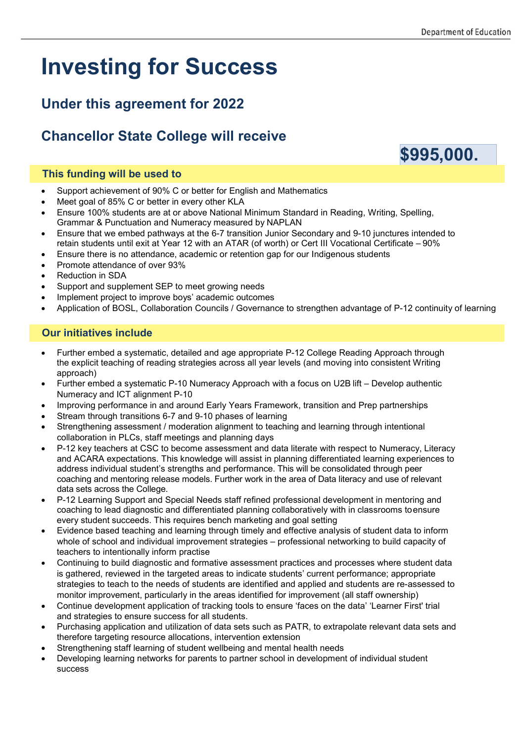# **Investing for Success**

### **Under this agreement for 2022**

## **Chancellor State College will receive**

#### **This funding will be used to**

- Support achievement of 90% C or better for English and Mathematics
- Meet goal of 85% C or better in every other KLA
- Ensure 100% students are at or above National Minimum Standard in Reading, Writing, Spelling, Grammar & Punctuation and Numeracy measured by NAPLAN
- Ensure that we embed pathways at the 6-7 transition Junior Secondary and 9-10 junctures intended to retain students until exit at Year 12 with an ATAR (of worth) or Cert III Vocational Certificate – 90%
- Ensure there is no attendance, academic or retention gap for our Indigenous students
- Promote attendance of over 93%
- Reduction in SDA
- Support and supplement SEP to meet growing needs
- Implement project to improve boys' academic outcomes
- Application of BOSL, Collaboration Councils / Governance to strengthen advantage of P-12 continuity of learning

#### **Our initiatives include**

- Further embed a systematic, detailed and age appropriate P-12 College Reading Approach through the explicit teaching of reading strategies across all year levels (and moving into consistent Writing approach)
- Further embed a systematic P-10 Numeracy Approach with a focus on U2B lift Develop authentic Numeracy and ICT alignment P-10
- Improving performance in and around Early Years Framework, transition and Prep partnerships
- Stream through transitions 6-7 and 9-10 phases of learning
- Strengthening assessment / moderation alignment to teaching and learning through intentional collaboration in PLCs, staff meetings and planning days
- P-12 key teachers at CSC to become assessment and data literate with respect to Numeracy, Literacy and ACARA expectations. This knowledge will assist in planning differentiated learning experiences to address individual student's strengths and performance. This will be consolidated through peer coaching and mentoring release models. Further work in the area of Data literacy and use of relevant data sets across the College.
- P-12 Learning Support and Special Needs staff refined professional development in mentoring and coaching to lead diagnostic and differentiated planning collaboratively with in classrooms toensure every student succeeds. This requires bench marketing and goal setting
- Evidence based teaching and learning through timely and effective analysis of student data to inform whole of school and individual improvement strategies – professional networking to build capacity of teachers to intentionally inform practise
- Continuing to build diagnostic and formative assessment practices and processes where student data is gathered, reviewed in the targeted areas to indicate students' current performance; appropriate strategies to teach to the needs of students are identified and applied and students are re-assessed to monitor improvement, particularly in the areas identified for improvement (all staff ownership)
- Continue development application of tracking tools to ensure 'faces on the data' 'Learner First' trial and strategies to ensure success for all students.
- Purchasing application and utilization of data sets such as PATR, to extrapolate relevant data sets and therefore targeting resource allocations, intervention extension
- Strengthening staff learning of student wellbeing and mental health needs
- Developing learning networks for parents to partner school in development of individual student success